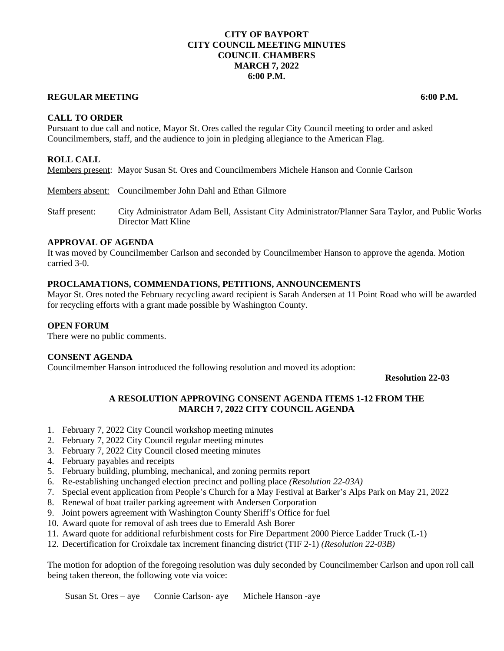# **CITY OF BAYPORT CITY COUNCIL MEETING MINUTES COUNCIL CHAMBERS MARCH 7, 2022 6:00 P.M.**

# **REGULAR MEETING 6:00 P.M.**

**CALL TO ORDER**

Pursuant to due call and notice, Mayor St. Ores called the regular City Council meeting to order and asked Councilmembers, staff, and the audience to join in pledging allegiance to the American Flag.

# **ROLL CALL**

Members present: Mayor Susan St. Ores and Councilmembers Michele Hanson and Connie Carlson

Members absent: Councilmember John Dahl and Ethan Gilmore

Staff present: City Administrator Adam Bell, Assistant City Administrator/Planner Sara Taylor, and Public Works Director Matt Kline

# **APPROVAL OF AGENDA**

It was moved by Councilmember Carlson and seconded by Councilmember Hanson to approve the agenda. Motion carried 3-0.

## **PROCLAMATIONS, COMMENDATIONS, PETITIONS, ANNOUNCEMENTS**

Mayor St. Ores noted the February recycling award recipient is Sarah Andersen at 11 Point Road who will be awarded for recycling efforts with a grant made possible by Washington County.

#### **OPEN FORUM**

There were no public comments.

## **CONSENT AGENDA**

Councilmember Hanson introduced the following resolution and moved its adoption:

**Resolution 22-03**

# **A RESOLUTION APPROVING CONSENT AGENDA ITEMS 1-12 FROM THE MARCH 7, 2022 CITY COUNCIL AGENDA**

- 1. February 7, 2022 City Council workshop meeting minutes
- 2. February 7, 2022 City Council regular meeting minutes
- 3. February 7, 2022 City Council closed meeting minutes
- 4. February payables and receipts
- 5. February building, plumbing, mechanical, and zoning permits report
- 6. Re-establishing unchanged election precinct and polling place *(Resolution 22-03A)*
- 7. Special event application from People's Church for a May Festival at Barker's Alps Park on May 21, 2022
- 8. Renewal of boat trailer parking agreement with Andersen Corporation
- 9. Joint powers agreement with Washington County Sheriff's Office for fuel
- 10. Award quote for removal of ash trees due to Emerald Ash Borer
- 11. Award quote for additional refurbishment costs for Fire Department 2000 Pierce Ladder Truck (L-1)
- 12. Decertification for Croixdale tax increment financing district (TIF 2-1) *(Resolution 22-03B)*

The motion for adoption of the foregoing resolution was duly seconded by Councilmember Carlson and upon roll call being taken thereon, the following vote via voice:

Susan St. Ores – aye Connie Carlson- aye Michele Hanson -aye